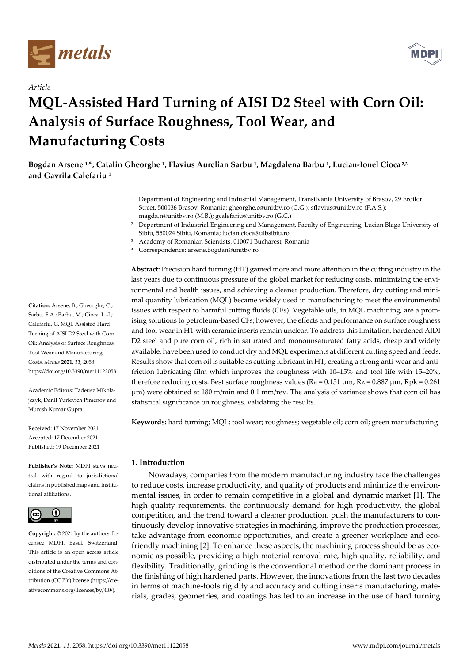

*Article*



# **MQL-Assisted Hard Turning of AISI D2 Steel with Corn Oil: Analysis of Surface Roughness, Tool Wear, and Manufacturing Costs**

**Bogdan Arsene 1,\*, Catalin Gheorghe <sup>1</sup> , Flavius Aurelian Sarbu <sup>1</sup> , Magdalena Barbu <sup>1</sup> , Lucian-Ionel Cioca 2,3 and Gavrila Calefariu <sup>1</sup>**

- <sup>1</sup> Department of Engineering and Industrial Management, Transilvania University of Brasov, 29 Eroilor Street, 500036 Brasov, Romania; gheorghe.c@unitbv.ro (C.G.); sflavius@unitbv.ro (F.A.S.); magda.n@unitbv.ro (M.B.); gcalefariu@unitbv.ro (G.C.)
	- <sup>2</sup> Department of Industrial Engineering and Management, Faculty of Engineering, Lucian Blaga University of Sibiu, 550024 Sibiu, Romania; lucian.cioca@ulbsibiu.ro
- <sup>3</sup> Academy of Romanian Scientists, 010071 Bucharest, Romania
- **\*** Correspondence: arsene.bogdan@unitbv.ro

**Citation:** Arsene, B.; Gheorghe, C.; Sarbu, F.A.; Barbu, M.; Cioca, L.-I.; Calefariu, G. MQL Assisted Hard Turning of AISI D2 Steel with Corn Oil: Analysis of Surface Roughness, Tool Wear and Manufacturing Costs. *Metals* **2021**, *11*, 2058. https://doi.org/10.3390/met11122058

Academic Editors: Tadeusz Mikolajczyk, Danil Yurievich Pimenov and Munish Kumar Gupta

Received: 17 November 2021 Accepted: 17 December 2021 Published: 19 December 2021

**Publisher's Note:** MDPI stays neutral with regard to jurisdictional claims in published maps and institutional affiliations.



**Copyright:** © 2021 by the authors. Licensee MDPI, Basel, Switzerland. This article is an open access article distributed under the terms and conditions of the Creative Commons Attribution (CC BY) license (https://creativecommons.org/licenses/by/4.0/).

**Abstract:** Precision hard turning (HT) gained more and more attention in the cutting industry in the last years due to continuous pressure of the global market for reducing costs, minimizing the environmental and health issues, and achieving a cleaner production. Therefore, dry cutting and minimal quantity lubrication (MQL) became widely used in manufacturing to meet the environmental issues with respect to harmful cutting fluids (CFs). Vegetable oils, in MQL machining, are a promising solutions to petroleum-based CFs; however, the effects and performance on surface roughness and tool wear in HT with ceramic inserts remain unclear. To address this limitation, hardened AIDI D2 steel and pure corn oil, rich in saturated and monounsaturated fatty acids, cheap and widely available, have been used to conduct dry and MQL experiments at different cutting speed and feeds. Results show that corn oil is suitable as cutting lubricant in HT, creating a strong anti-wear and antifriction lubricating film which improves the roughness with 10–15% and tool life with 15–20%, therefore reducing costs. Best surface roughness values ( $Ra = 0.151 \mu m$ ,  $Rz = 0.887 \mu m$ ,  $Rpk = 0.261$ μm) were obtained at 180 m/min and 0.1 mm/rev. The analysis of variance shows that corn oil has statistical significance on roughness, validating the results.

**Keywords:** hard turning; MQL; tool wear; roughness; vegetable oil; corn oil; green manufacturing

# **1. Introduction**

Nowadays, companies from the modern manufacturing industry face the challenges to reduce costs, increase productivity, and quality of products and minimize the environmental issues, in order to remain competitive in a global and dynamic market [1]. The high quality requirements, the continuously demand for high productivity, the global competition, and the trend toward a cleaner production, push the manufacturers to continuously develop innovative strategies in machining, improve the production processes, take advantage from economic opportunities, and create a greener workplace and ecofriendly machining [2]. To enhance these aspects, the machining process should be as economic as possible, providing a high material removal rate, high quality, reliability, and flexibility. Traditionally, grinding is the conventional method or the dominant process in the finishing of high hardened parts. However, the innovations from the last two decades in terms of machine-tools rigidity and accuracy and cutting inserts manufacturing, materials, grades, geometries, and coatings has led to an increase in the use of hard turning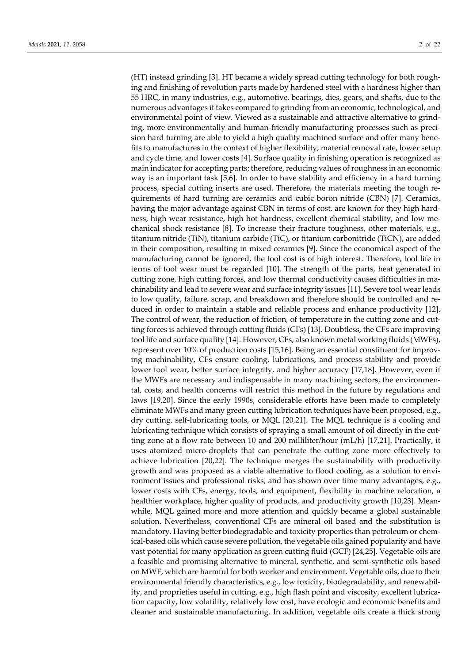(HT) instead grinding [3]. HT became a widely spread cutting technology for both roughing and finishing of revolution parts made by hardened steel with a hardness higher than 55 HRC, in many industries, e.g., automotive, bearings, dies, gears, and shafts, due to the numerous advantages it takes compared to grinding from an economic, technological, and environmental point of view. Viewed as a sustainable and attractive alternative to grinding, more environmentally and human-friendly manufacturing processes such as precision hard turning are able to yield a high quality machined surface and offer many benefits to manufactures in the context of higher flexibility, material removal rate, lower setup and cycle time, and lower costs [4]. Surface quality in finishing operation is recognized as main indicator for accepting parts; therefore, reducing values of roughness in an economic way is an important task [5,6]. In order to have stability and efficiency in a hard turning process, special cutting inserts are used. Therefore, the materials meeting the tough requirements of hard turning are ceramics and cubic boron nitride (CBN) [7]. Ceramics, having the major advantage against CBN in terms of cost, are known for they high hardness, high wear resistance, high hot hardness, excellent chemical stability, and low mechanical shock resistance [8]. To increase their fracture toughness, other materials, e.g., titanium nitride (TiN), titanium carbide (TiC), or titanium carbonitride (TiCN), are added in their composition, resulting in mixed ceramics [9]. Since the economical aspect of the manufacturing cannot be ignored, the tool cost is of high interest. Therefore, tool life in terms of tool wear must be regarded [10]. The strength of the parts, heat generated in cutting zone, high cutting forces, and low thermal conductivity causes difficulties in machinability and lead to severe wear and surface integrity issues [11]. Severe tool wear leads to low quality, failure, scrap, and breakdown and therefore should be controlled and reduced in order to maintain a stable and reliable process and enhance productivity [12]. The control of wear, the reduction of friction, of temperature in the cutting zone and cutting forces is achieved through cutting fluids (CFs) [13]. Doubtless, the CFs are improving tool life and surface quality [14]. However, CFs, also known metal working fluids (MWFs), represent over 10% of production costs [15,16]. Being an essential constituent for improving machinability, CFs ensure cooling, lubrications, and process stability and provide lower tool wear, better surface integrity, and higher accuracy [17,18]. However, even if the MWFs are necessary and indispensable in many machining sectors, the environmental, costs, and health concerns will restrict this method in the future by regulations and laws [19,20]. Since the early 1990s, considerable efforts have been made to completely eliminate MWFs and many green cutting lubrication techniques have been proposed, e.g., dry cutting, self-lubricating tools, or MQL [20,21]. The MQL technique is a cooling and lubricating technique which consists of spraying a small amount of oil directly in the cutting zone at a flow rate between 10 and 200 milliliter/hour (mL/h) [17,21]. Practically, it uses atomized micro-droplets that can penetrate the cutting zone more effectively to achieve lubrication [20,22]. The technique merges the sustainability with productivity growth and was proposed as a viable alternative to flood cooling, as a solution to environment issues and professional risks, and has shown over time many advantages, e.g., lower costs with CFs, energy, tools, and equipment, flexibility in machine relocation, a healthier workplace, higher quality of products, and productivity growth [10,23]. Meanwhile, MQL gained more and more attention and quickly became a global sustainable solution. Nevertheless, conventional CFs are mineral oil based and the substitution is mandatory. Having better biodegradable and toxicity properties than petroleum or chemical-based oils which cause severe pollution, the vegetable oils gained popularity and have vast potential for many application as green cutting fluid (GCF) [24,25]. Vegetable oils are a feasible and promising alternative to mineral, synthetic, and semi-synthetic oils based on MWF, which are harmful for both worker and environment. Vegetable oils, due to their environmental friendly characteristics, e.g., low toxicity, biodegradability, and renewability, and proprieties useful in cutting, e.g., high flash point and viscosity, excellent lubrication capacity, low volatility, relatively low cost, have ecologic and economic benefits and cleaner and sustainable manufacturing. In addition, vegetable oils create a thick strong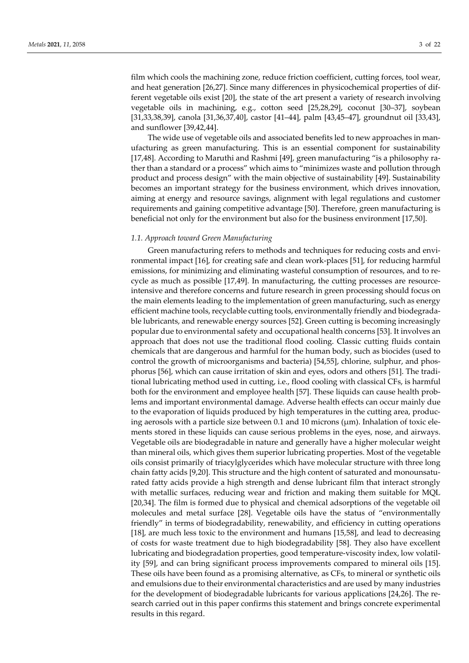film which cools the machining zone, reduce friction coefficient, cutting forces, tool wear, and heat generation [26,27]. Since many differences in physicochemical properties of different vegetable oils exist [20], the state of the art present a variety of research involving vegetable oils in machining, e.g., cotton seed [25,28,29], coconut [30–37], soybean [31,33,38,39], canola [31,36,37,40], castor [41–44], palm [43,45–47], groundnut oil [33,43], and sunflower [39,42,44].

The wide use of vegetable oils and associated benefits led to new approaches in manufacturing as green manufacturing. This is an essential component for sustainability [17,48]. According to Maruthi and Rashmi [49], green manufacturing "is a philosophy rather than a standard or a process" which aims to "minimizes waste and pollution through product and process design" with the main objective of sustainability [49]. Sustainability becomes an important strategy for the business environment, which drives innovation, aiming at energy and resource savings, alignment with legal regulations and customer requirements and gaining competitive advantage [50]. Therefore, green manufacturing is beneficial not only for the environment but also for the business environment [17,50].

## *1.1. Approach toward Green Manufacturing*

Green manufacturing refers to methods and techniques for reducing costs and environmental impact [16], for creating safe and clean work-places [51], for reducing harmful emissions, for minimizing and eliminating wasteful consumption of resources, and to recycle as much as possible [17,49]. In manufacturing, the cutting processes are resourceintensive and therefore concerns and future research in green processing should focus on the main elements leading to the implementation of green manufacturing, such as energy efficient machine tools, recyclable cutting tools, environmentally friendly and biodegradable lubricants, and renewable energy sources [52]. Green cutting is becoming increasingly popular due to environmental safety and occupational health concerns [53]. It involves an approach that does not use the traditional flood cooling. Classic cutting fluids contain chemicals that are dangerous and harmful for the human body, such as biocides (used to control the growth of microorganisms and bacteria) [54,55], chlorine, sulphur, and phosphorus [56], which can cause irritation of skin and eyes, odors and others [51]. The traditional lubricating method used in cutting, i.e., flood cooling with classical CFs, is harmful both for the environment and employee health [57]. These liquids can cause health problems and important environmental damage. Adverse health effects can occur mainly due to the evaporation of liquids produced by high temperatures in the cutting area, producing aerosols with a particle size between 0.1 and 10 microns (μm). Inhalation of toxic elements stored in these liquids can cause serious problems in the eyes, nose, and airways. Vegetable oils are biodegradable in nature and generally have a higher molecular weight than mineral oils, which gives them superior lubricating properties. Most of the vegetable oils consist primarily of triacylglycerides which have molecular structure with three long chain fatty acids [9,20]. This structure and the high content of saturated and monounsaturated fatty acids provide a high strength and dense lubricant film that interact strongly with metallic surfaces, reducing wear and friction and making them suitable for MQL [20,34]. The film is formed due to physical and chemical adsorptions of the vegetable oil molecules and metal surface [28]. Vegetable oils have the status of "environmentally friendly" in terms of biodegradability, renewability, and efficiency in cutting operations [18], are much less toxic to the environment and humans [15,58], and lead to decreasing of costs for waste treatment due to high biodegradability [58]. They also have excellent lubricating and biodegradation properties, good temperature-viscosity index, low volatility [59], and can bring significant process improvements compared to mineral oils [15]. These oils have been found as a promising alternative, as CFs, to mineral or synthetic oils and emulsions due to their environmental characteristics and are used by many industries for the development of biodegradable lubricants for various applications [24,26]. The research carried out in this paper confirms this statement and brings concrete experimental results in this regard.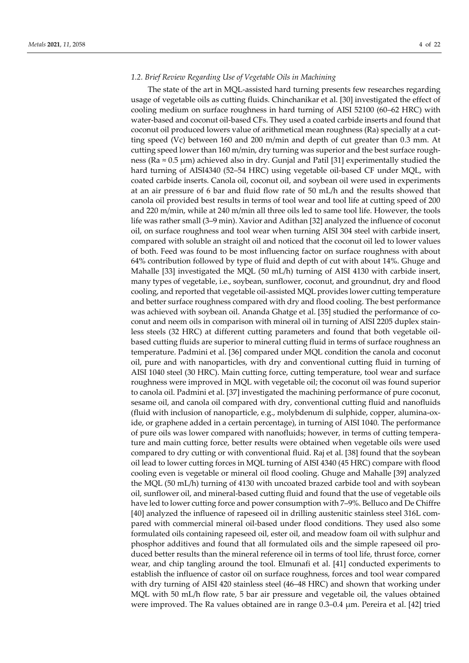## *1.2. Brief Review Regarding Use of Vegetable Oils in Machining*

The state of the art in MQL-assisted hard turning presents few researches regarding usage of vegetable oils as cutting fluids. Chinchanikar et al. [30] investigated the effect of cooling medium on surface roughness in hard turning of AISI 52100 (60–62 HRC) with water-based and coconut oil-based CFs. They used a coated carbide inserts and found that coconut oil produced lowers value of arithmetical mean roughness (Ra) specially at a cutting speed (Vc) between 160 and 200 m/min and depth of cut greater than 0.3 mm. At cutting speed lower than 160 m/min, dry turning was superior and the best surface roughness (Ra ≈ 0.5 μm) achieved also in dry. Gunjal and Patil [31] experimentally studied the hard turning of AISI4340 (52–54 HRC) using vegetable oil-based CF under MQL, with coated carbide inserts. Canola oil, coconut oil, and soybean oil were used in experiments at an air pressure of 6 bar and fluid flow rate of 50 mL/h and the results showed that canola oil provided best results in terms of tool wear and tool life at cutting speed of 200 and 220 m/min, while at 240 m/min all three oils led to same tool life. However, the tools life was rather small (3–9 min). Xavior and Adithan [32] analyzed the influence of coconut oil, on surface roughness and tool wear when turning AISI 304 steel with carbide insert, compared with soluble an straight oil and noticed that the coconut oil led to lower values of both. Feed was found to be most influencing factor on surface roughness with about 64% contribution followed by type of fluid and depth of cut with about 14%. Ghuge and Mahalle [33] investigated the MQL (50 mL/h) turning of AISI 4130 with carbide insert, many types of vegetable, i.e., soybean, sunflower, coconut, and groundnut, dry and flood cooling, and reported that vegetable oil-assisted MQL provides lower cutting temperature and better surface roughness compared with dry and flood cooling. The best performance was achieved with soybean oil. Ananda Ghatge et al. [35] studied the performance of coconut and neem oils in comparison with mineral oil in turning of AISI 2205 duplex stainless steels (32 HRC) at different cutting parameters and found that both vegetable oilbased cutting fluids are superior to mineral cutting fluid in terms of surface roughness an temperature. Padmini et al. [36] compared under MQL condition the canola and coconut oil, pure and with nanoparticles, with dry and conventional cutting fluid in turning of AISI 1040 steel (30 HRC). Main cutting force, cutting temperature, tool wear and surface roughness were improved in MQL with vegetable oil; the coconut oil was found superior to canola oil. Padmini et al. [37] investigated the machining performance of pure coconut, sesame oil, and canola oil compared with dry, conventional cutting fluid and nanofluids (fluid with inclusion of nanoparticle, e.g., molybdenum di sulphide, copper, alumina-oxide, or graphene added in a certain percentage), in turning of AISI 1040. The performance of pure oils was lower compared with nanofluids; however, in terms of cutting temperature and main cutting force, better results were obtained when vegetable oils were used compared to dry cutting or with conventional fluid. Raj et al. [38] found that the soybean oil lead to lower cutting forces in MQL turning of AISI 4340 (45 HRC) compare with flood cooling even is vegetable or mineral oil flood cooling. Ghuge and Mahalle [39] analyzed the MQL (50 mL/h) turning of 4130 with uncoated brazed carbide tool and with soybean oil, sunflower oil, and mineral-based cutting fluid and found that the use of vegetable oils have led to lower cutting force and power consumption with 7–9%. Belluco and De Chiffre [40] analyzed the influence of rapeseed oil in drilling austenitic stainless steel 316L compared with commercial mineral oil-based under flood conditions. They used also some formulated oils containing rapeseed oil, ester oil, and meadow foam oil with sulphur and phosphor additives and found that all formulated oils and the simple rapeseed oil produced better results than the mineral reference oil in terms of tool life, thrust force, corner wear, and chip tangling around the tool. Elmunafi et al. [41] conducted experiments to establish the influence of castor oil on surface roughness, forces and tool wear compared with dry turning of AISI 420 stainless steel (46–48 HRC) and shown that working under MQL with 50 mL/h flow rate, 5 bar air pressure and vegetable oil, the values obtained were improved. The Ra values obtained are in range 0.3–0.4 μm. Pereira et al. [42] tried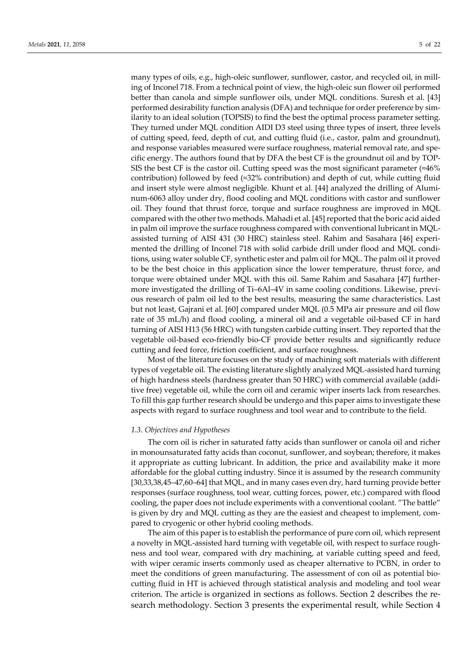many types of oils, e.g., high-oleic sunflower, sunflower, castor, and recycled oil, in milling of Inconel 718. From a technical point of view, the high-oleic sun flower oil performed better than canola and simple sunflower oils, under MQL conditions. Suresh et al. [43] performed desirability function analysis (DFA) and technique for order preference by similarity to an ideal solution (TOPSIS) to find the best the optimal process parameter setting. They turned under MQL condition AIDI D3 steel using three types of insert, three levels of cutting speed, feed, depth of cut, and cutting fluid (i.e., castor, palm and groundnut), and response variables measured were surface roughness, material removal rate, and specific energy. The authors found that by DFA the best CF is the groundnut oil and by TOP-SIS the best CF is the castor oil. Cutting speed was the most significant parameter  $\approx 46\%$ contribution) followed by feed (≈32% contribution) and depth of cut, while cutting fluid and insert style were almost negligible. Khunt et al. [44] analyzed the drilling of Aluminum-6063 alloy under dry, flood cooling and MQL conditions with castor and sunflower oil. They found that thrust force, torque and surface roughness are improved in MQL compared with the other two methods. Mahadi et al. [45] reported that the boric acid aided in palm oil improve the surface roughness compared with conventional lubricant in MQLassisted turning of AISI 431 (30 HRC) stainless steel. Rahim and Sasahara [46] experimented the drilling of Inconel 718 with solid carbide drill under flood and MQL conditions, using water soluble CF, synthetic ester and palm oil for MQL. The palm oil it proved to be the best choice in this application since the lower temperature, thrust force, and torque were obtained under MQL with this oil. Same Rahim and Sasahara [47] furthermore investigated the drilling of Ti–6Al–4V in same cooling conditions. Likewise, previous research of palm oil led to the best results, measuring the same characteristics. Last but not least, Gajrani et al. [60] compared under MQL (0.5 MPa air pressure and oil flow rate of 35 mL/h) and flood cooling, a mineral oil and a vegetable oil-based CF in hard turning of AISI H13 (56 HRC) with tungsten carbide cutting insert. They reported that the vegetable oil-based eco-friendly bio-CF provide better results and significantly reduce cutting and feed force, friction coefficient, and surface roughness.

Most of the literature focuses on the study of machining soft materials with different types of vegetable oil. The existing literature slightly analyzed MQL-assisted hard turning of high hardness steels (hardness greater than 50 HRC) with commercial available (additive free) vegetable oil, while the corn oil and ceramic wiper inserts lack from researches. To fill this gap further research should be undergo and this paper aims to investigate these aspects with regard to surface roughness and tool wear and to contribute to the field.

## *1.3. Objectives and Hypotheses*

The corn oil is richer in saturated fatty acids than sunflower or canola oil and richer in monounsaturated fatty acids than coconut, sunflower, and soybean; therefore, it makes it appropriate as cutting lubricant. In addition, the price and availability make it more affordable for the global cutting industry. Since it is assumed by the research community [30,33,38,45–47,60–64] that MQL, and in many cases even dry, hard turning provide better responses (surface roughness, tool wear, cutting forces, power, etc.) compared with flood cooling, the paper does not include experiments with a conventional coolant. "The battle" is given by dry and MQL cutting as they are the easiest and cheapest to implement, compared to cryogenic or other hybrid cooling methods.

The aim of this paper is to establish the performance of pure corn oil, which represent a novelty in MQL-assisted hard turning with vegetable oil, with respect to surface roughness and tool wear, compared with dry machining, at variable cutting speed and feed, with wiper ceramic inserts commonly used as cheaper alternative to PCBN, in order to meet the conditions of green manufacturing. The assessment of con oil as potential biocutting fluid in HT is achieved through statistical analysis and modeling and tool wear criterion. The article is organized in sections as follows. Section 2 describes the research methodology. Section 3 presents the experimental result, while Section 4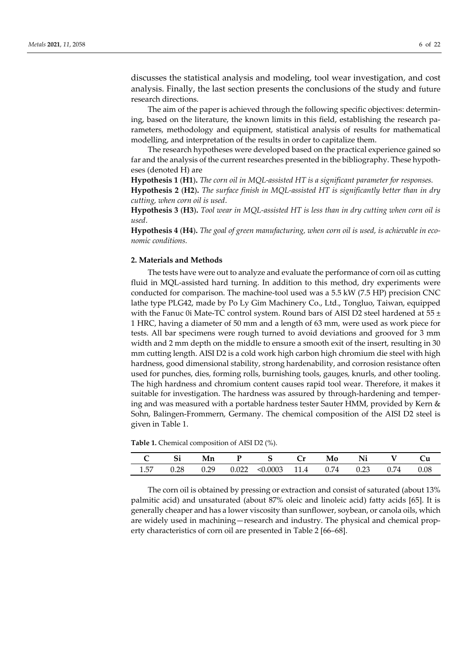discusses the statistical analysis and modeling, tool wear investigation, and cost analysis. Finally, the last section presents the conclusions of the study and future research directions.

The aim of the paper is achieved through the following specific objectives: determining, based on the literature, the known limits in this field, establishing the research parameters, methodology and equipment, statistical analysis of results for mathematical modelling, and interpretation of the results in order to capitalize them.

The research hypotheses were developed based on the practical experience gained so far and the analysis of the current researches presented in the bibliography. These hypotheses (denoted H) are

**Hypothesis 1** (**H1**)**.** *The corn oil in MQL-assisted HT is a significant parameter for responses.*

**Hypothesis 2** (**H2**)**.** *The surface finish in MQL-assisted HT is significantly better than in dry cutting, when corn oil is used*.

**Hypothesis 3** (**H3**)**.** *Tool wear in MQL-assisted HT is less than in dry cutting when corn oil is used*.

**Hypothesis 4** (**H4**)**.** *The goal of green manufacturing, when corn oil is used, is achievable in economic conditions.*

## **2. Materials and Methods**

The tests have were out to analyze and evaluate the performance of corn oil as cutting fluid in MQL-assisted hard turning. In addition to this method, dry experiments were conducted for comparison. The machine-tool used was a 5.5 kW (7.5 HP) precision CNC lathe type PLG42, made by Po Ly Gim Machinery Co., Ltd., Tongluo, Taiwan, equipped with the Fanuc 0i Mate-TC control system. Round bars of AISI D2 steel hardened at  $55 \pm$ 1 HRC, having a diameter of 50 mm and a length of 63 mm, were used as work piece for tests. All bar specimens were rough turned to avoid deviations and grooved for 3 mm width and 2 mm depth on the middle to ensure a smooth exit of the insert, resulting in 30 mm cutting length. AISI D2 is a cold work high carbon high chromium die steel with high hardness, good dimensional stability, strong hardenability, and corrosion resistance often used for punches, dies, forming rolls, burnishing tools, gauges, knurls, and other tooling. The high hardness and chromium content causes rapid tool wear. Therefore, it makes it suitable for investigation. The hardness was assured by through-hardening and tempering and was measured with a portable hardness tester Sauter HMM, provided by Kern & Sohn, Balingen-Frommern, Germany. The chemical composition of the AISI D2 steel is given in Table 1.

| $\mathbf{Si}$ | - Mn | P S Cr                                              | Mo | Ni V |      |
|---------------|------|-----------------------------------------------------|----|------|------|
|               |      | $1.57$ 0.28 0.29 0.022 < 0.0003 11.4 0.74 0.23 0.74 |    |      | 0.08 |

**Table 1.** Chemical composition of AISI D2 (%).

The corn oil is obtained by pressing or extraction and consist of saturated (about 13% palmitic acid) and unsaturated (about 87% oleic and linoleic acid) fatty acids [65]. It is generally cheaper and has a lower viscosity than sunflower, soybean, or canola oils, which are widely used in machining—research and industry. The physical and chemical property characteristics of corn oil are presented in Table 2 [66–68].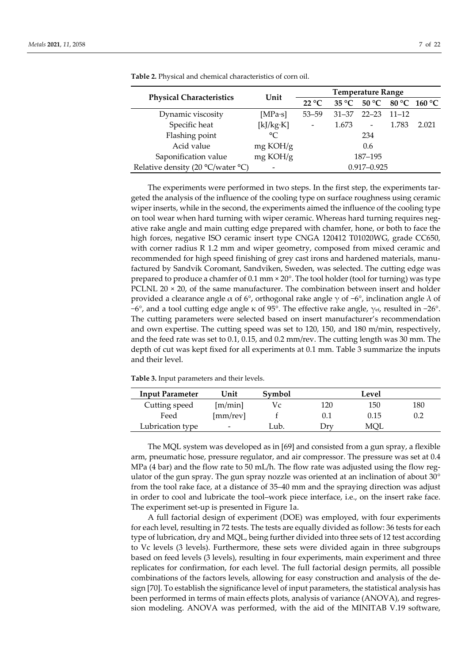|                                   | Unit        | <b>Temperature Range</b> |                |                          |           |              |  |
|-----------------------------------|-------------|--------------------------|----------------|--------------------------|-----------|--------------|--|
| <b>Physical Characteristics</b>   |             | $22^{\circ}C$            | $35^{\circ}$ C | 50 °C                    |           | 80 °C 160 °C |  |
| Dynamic viscosity                 | [ $MPa-s$ ] | $53 - 59$                | $31 - 37$      | $22 - 23$                | $11 - 12$ |              |  |
| Specific heat                     | [k]/kg·K]   | $\overline{\phantom{a}}$ | 1.673          | $\overline{\phantom{0}}$ | 1.783     | 2.021        |  |
| Flashing point                    | $\circ$     |                          |                | 234                      |           |              |  |
| Acid value                        | mg KOH/g    |                          |                | 0.6                      |           |              |  |
| Saponification value              | mg KOH/g    |                          |                | 187-195                  |           |              |  |
| Relative density (20 °C/water °C) |             |                          |                | $0.917 - 0.925$          |           |              |  |

**Table 2.** Physical and chemical characteristics of corn oil.

The experiments were performed in two steps. In the first step, the experiments targeted the analysis of the influence of the cooling type on surface roughness using ceramic wiper inserts, while in the second, the experiments aimed the influence of the cooling type on tool wear when hard turning with wiper ceramic. Whereas hard turning requires negative rake angle and main cutting edge prepared with chamfer, hone, or both to face the high forces, negative ISO ceramic insert type CNGA 120412 T01020WG, grade CC650, with corner radius R 1.2 mm and wiper geometry, composed from mixed ceramic and recommended for high speed finishing of grey cast irons and hardened materials, manufactured by Sandvik Coromant, Sandviken, Sweden, was selected. The cutting edge was prepared to produce a chamfer of  $0.1$  mm  $\times$  20 $^{\circ}$ . The tool holder (tool for turning) was type PCLNL 20  $\times$  20, of the same manufacturer. The combination between insert and holder provided a clearance angle α of 6°, orthogonal rake angle  $\gamma$  of −6°, inclination angle  $\lambda$  of −6°, and a tool cutting edge angle κ of 95°. The effective rake angle, γef, resulted in −26°. The cutting parameters were selected based on insert manufacturer's recommendation and own expertise. The cutting speed was set to 120, 150, and 180 m/min, respectively, and the feed rate was set to 0.1, 0.15, and 0.2 mm/rev. The cutting length was 30 mm. The depth of cut was kept fixed for all experiments at 0.1 mm. Table 3 summarize the inputs and their level.

| <b>Input Parameter</b> | Unit     | Symbol |               | Level |     |
|------------------------|----------|--------|---------------|-------|-----|
| Cutting speed          | [m/min]  | V c    | 120           | 150   | 180 |
| Feed                   | [mm/rev] |        |               | 0.15  | 0.2 |
| Lubrication type       |          | Lub.   | $_{\rm{Orv}}$ | MOL   |     |

**Table 3.** Input parameters and their levels.

The MQL system was developed as in [69] and consisted from a gun spray, a flexible arm, pneumatic hose, pressure regulator, and air compressor. The pressure was set at 0.4 MPa (4 bar) and the flow rate to 50 mL/h. The flow rate was adjusted using the flow regulator of the gun spray. The gun spray nozzle was oriented at an inclination of about 30° from the tool rake face, at a distance of 35–40 mm and the spraying direction was adjust in order to cool and lubricate the tool–work piece interface, i.e., on the insert rake face. The experiment set-up is presented in Figure 1a.

A full factorial design of experiment (DOE) was employed, with four experiments for each level, resulting in 72 tests. The tests are equally divided as follow: 36 tests for each type of lubrication, dry and MQL, being further divided into three sets of 12 test according to Vc levels (3 levels). Furthermore, these sets were divided again in three subgroups based on feed levels (3 levels), resulting in four experiments, main experiment and three replicates for confirmation, for each level. The full factorial design permits, all possible combinations of the factors levels, allowing for easy construction and analysis of the design [70]. To establish the significance level of input parameters, the statistical analysis has been performed in terms of main effects plots, analysis of variance (ANOVA), and regression modeling. ANOVA was performed, with the aid of the MINITAB V.19 software,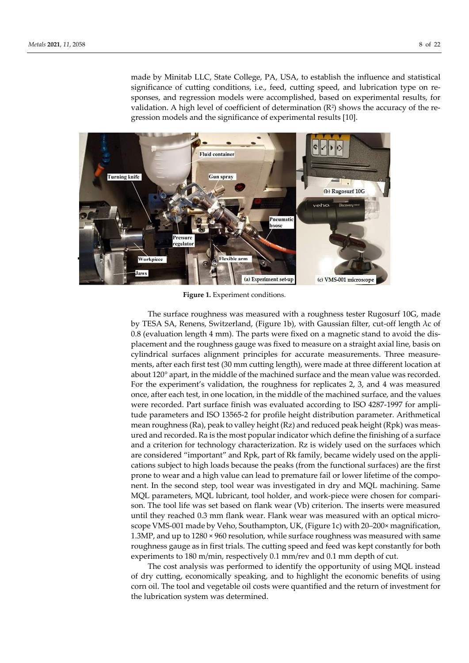made by Minitab LLC, State College, PA, USA, to establish the influence and statistical significance of cutting conditions, i.e., feed, cutting speed, and lubrication type on responses, and regression models were accomplished, based on experimental results, for validation. A high level of coefficient of determination  $(R^2)$  shows the accuracy of the regression models and the significance of experimental results [10].



**Figure 1.** Experiment conditions.

The surface roughness was measured with a roughness tester Rugosurf 10G, made by TESA SA, Renens, Switzerland, (Figure 1b), with Gaussian filter, cut-off length λc of 0.8 (evaluation length 4 mm). The parts were fixed on a magnetic stand to avoid the displacement and the roughness gauge was fixed to measure on a straight axial line, basis on cylindrical surfaces alignment principles for accurate measurements. Three measurements, after each first test (30 mm cutting length), were made at three different location at about 120°apart, in the middle of the machined surface and the mean value was recorded. For the experiment's validation, the roughness for replicates 2, 3, and 4 was measured once, after each test, in one location, in the middle of the machined surface, and the values were recorded. Part surface finish was evaluated according to ISO 4287-1997 for amplitude parameters and ISO 13565-2 for profile height distribution parameter. Arithmetical mean roughness (Ra), peak to valley height (Rz) and reduced peak height (Rpk) was measured and recorded. Ra is the most popular indicator which define the finishing of a surface and a criterion for technology characterization. Rz is widely used on the surfaces which are considered "important" and Rpk, part of Rk family, became widely used on the applications subject to high loads because the peaks (from the functional surfaces) are the first prone to wear and a high value can lead to premature fail or lower lifetime of the component. In the second step, tool wear was investigated in dry and MQL machining. Same MQL parameters, MQL lubricant, tool holder, and work-piece were chosen for comparison. The tool life was set based on flank wear (Vb) criterion. The inserts were measured until they reached 0.3 mm flank wear. Flank wear was measured with an optical microscope VMS-001 made by Veho, Southampton, UK, (Figure 1c) with 20–200× magnification, 1.3MP, and up to 1280 × 960 resolution, while surface roughness was measured with same roughness gauge as in first trials. The cutting speed and feed was kept constantly for both experiments to 180 m/min, respectively 0.1 mm/rev and 0.1 mm depth of cut.

The cost analysis was performed to identify the opportunity of using MQL instead of dry cutting, economically speaking, and to highlight the economic benefits of using corn oil. The tool and vegetable oil costs were quantified and the return of investment for the lubrication system was determined.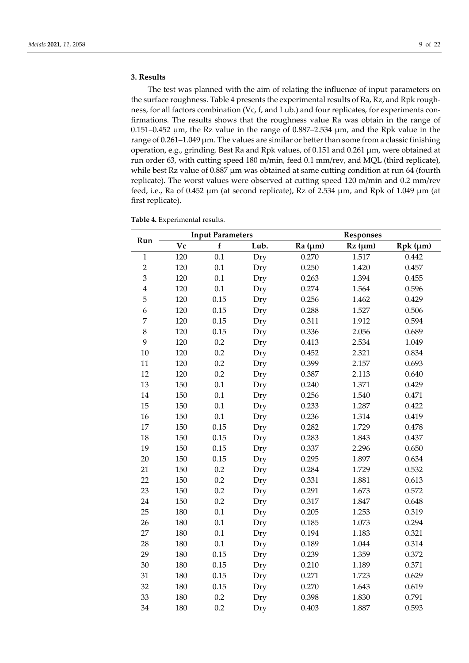## **3. Results**

The test was planned with the aim of relating the influence of input parameters on the surface roughness. Table 4 presents the experimental results of Ra, Rz, and Rpk roughness, for all factors combination (Vc, f, and Lub.) and four replicates, for experiments confirmations. The results shows that the roughness value Ra was obtain in the range of  $0.151-0.452$  μm, the Rz value in the range of  $0.887-2.534$  μm, and the Rpk value in the range of 0.261–1.049 μm. The values are similar or better than some from a classic finishing operation, e.g., grinding. Best Ra and Rpk values, of 0.151 and 0.261 μm, were obtained at run order 63, with cutting speed 180 m/min, feed 0.1 mm/rev, and MQL (third replicate), while best Rz value of  $0.887 \mu m$  was obtained at same cutting condition at run 64 (fourth replicate). The worst values were observed at cutting speed 120 m/min and 0.2 mm/rev feed, i.e., Ra of 0.452 μm (at second replicate), Rz of 2.534 μm, and Rpk of 1.049 μm (at first replicate).

| Run                     |     | <b>Input Parameters</b> |      |         | <b>Responses</b> |                  |  |  |
|-------------------------|-----|-------------------------|------|---------|------------------|------------------|--|--|
|                         | Vc  | $\mathbf f$             | Lub. | Ra (µm) | $Rz$ ( $\mu$ m)  | $Rpk$ ( $\mu$ m) |  |  |
| $\mathbf{1}$            | 120 | 0.1                     | Dry  | 0.270   | 1.517            | 0.442            |  |  |
| $\overline{c}$          | 120 | 0.1                     | Dry  | 0.250   | 1.420            | 0.457            |  |  |
| 3                       | 120 | 0.1                     | Dry  | 0.263   | 1.394            | 0.455            |  |  |
| $\overline{\mathbf{4}}$ | 120 | $0.1\,$                 | Dry  | 0.274   | 1.564            | 0.596            |  |  |
| 5                       | 120 | 0.15                    | Dry  | 0.256   | 1.462            | 0.429            |  |  |
| 6                       | 120 | 0.15                    | Dry  | 0.288   | 1.527            | 0.506            |  |  |
| $\overline{7}$          | 120 | 0.15                    | Dry  | 0.311   | 1.912            | 0.594            |  |  |
| 8                       | 120 | 0.15                    | Dry  | 0.336   | 2.056            | 0.689            |  |  |
| 9                       | 120 | 0.2                     | Dry  | 0.413   | 2.534            | 1.049            |  |  |
| $10\,$                  | 120 | 0.2                     | Dry  | 0.452   | 2.321            | 0.834            |  |  |
| 11                      | 120 | 0.2                     | Dry  | 0.399   | 2.157            | 0.693            |  |  |
| 12                      | 120 | 0.2                     | Dry  | 0.387   | 2.113            | 0.640            |  |  |
| 13                      | 150 | 0.1                     | Dry  | 0.240   | 1.371            | 0.429            |  |  |
| $14\,$                  | 150 | 0.1                     | Dry  | 0.256   | 1.540            | 0.471            |  |  |
| 15                      | 150 | 0.1                     | Dry  | 0.233   | 1.287            | 0.422            |  |  |
| 16                      | 150 | 0.1                     | Dry  | 0.236   | 1.314            | 0.419            |  |  |
| 17                      | 150 | 0.15                    | Dry  | 0.282   | 1.729            | 0.478            |  |  |
| 18                      | 150 | 0.15                    | Dry  | 0.283   | 1.843            | 0.437            |  |  |
| 19                      | 150 | 0.15                    | Dry  | 0.337   | 2.296            | 0.650            |  |  |
| 20                      | 150 | 0.15                    | Dry  | 0.295   | 1.897            | 0.634            |  |  |
| 21                      | 150 | 0.2                     | Dry  | 0.284   | 1.729            | 0.532            |  |  |
| 22                      | 150 | $0.2\,$                 | Dry  | 0.331   | 1.881            | 0.613            |  |  |
| 23                      | 150 | 0.2                     | Dry  | 0.291   | 1.673            | 0.572            |  |  |
| 24                      | 150 | 0.2                     | Dry  | 0.317   | 1.847            | 0.648            |  |  |
| 25                      | 180 | 0.1                     | Dry  | 0.205   | 1.253            | 0.319            |  |  |
| 26                      | 180 | 0.1                     | Dry  | 0.185   | 1.073            | 0.294            |  |  |
| 27                      | 180 | 0.1                     | Dry  | 0.194   | 1.183            | 0.321            |  |  |
| 28                      | 180 | 0.1                     | Dry  | 0.189   | 1.044            | 0.314            |  |  |
| 29                      | 180 | 0.15                    | Dry  | 0.239   | 1.359            | 0.372            |  |  |
| 30                      | 180 | 0.15                    | Dry  | 0.210   | 1.189            | 0.371            |  |  |
| 31                      | 180 | 0.15                    | Dry  | 0.271   | 1.723            | 0.629            |  |  |
| 32                      | 180 | 0.15                    | Dry  | 0.270   | 1.643            | 0.619            |  |  |
| 33                      | 180 | 0.2                     | Dry  | 0.398   | 1.830            | 0.791            |  |  |

180 0.2 Dry 0.403 1.887 0.593

**Table 4.** Experimental results.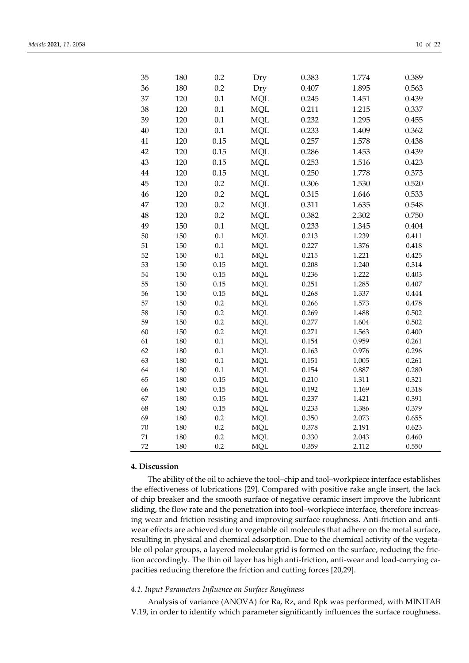| 35       | 180 | 0.2        | Dry        | 0.383 | 1.774 | 0.389 |
|----------|-----|------------|------------|-------|-------|-------|
| 36       | 180 | 0.2        | Dry        | 0.407 | 1.895 | 0.563 |
| 37       | 120 | 0.1        | <b>MQL</b> | 0.245 | 1.451 | 0.439 |
| 38       | 120 | 0.1        | <b>MQL</b> | 0.211 | 1.215 | 0.337 |
| 39       | 120 | 0.1        | <b>MQL</b> | 0.232 | 1.295 | 0.455 |
| 40       | 120 | 0.1        | <b>MQL</b> | 0.233 | 1.409 | 0.362 |
| 41       | 120 | 0.15       | <b>MQL</b> | 0.257 | 1.578 | 0.438 |
| 42       | 120 | 0.15       | <b>MQL</b> | 0.286 | 1.453 | 0.439 |
| 43       | 120 | 0.15       | <b>MQL</b> | 0.253 | 1.516 | 0.423 |
| $\rm 44$ | 120 | 0.15       | <b>MQL</b> | 0.250 | 1.778 | 0.373 |
| 45       | 120 | 0.2        | <b>MQL</b> | 0.306 | 1.530 | 0.520 |
| 46       | 120 | 0.2        | <b>MQL</b> | 0.315 | 1.646 | 0.533 |
| 47       | 120 | 0.2        | <b>MQL</b> | 0.311 | 1.635 | 0.548 |
| 48       | 120 | 0.2        | <b>MQL</b> | 0.382 | 2.302 | 0.750 |
| 49       | 150 | 0.1        | <b>MQL</b> | 0.233 | 1.345 | 0.404 |
| 50       | 150 | 0.1        | <b>MQL</b> | 0.213 | 1.239 | 0.411 |
| 51       | 150 | 0.1        | <b>MQL</b> | 0.227 | 1.376 | 0.418 |
| 52       | 150 | 0.1        | <b>MQL</b> | 0.215 | 1.221 | 0.425 |
| 53       | 150 | 0.15       | <b>MQL</b> | 0.208 | 1.240 | 0.314 |
| 54       | 150 | 0.15       | $\rm MQL$  | 0.236 | 1.222 | 0.403 |
| 55       | 150 | 0.15       | <b>MQL</b> | 0.251 | 1.285 | 0.407 |
| 56       | 150 | 0.15       | <b>MQL</b> | 0.268 | 1.337 | 0.444 |
| 57       | 150 | 0.2        | <b>MQL</b> | 0.266 | 1.573 | 0.478 |
| 58       | 150 | 0.2        | <b>MQL</b> | 0.269 | 1.488 | 0.502 |
| 59       | 150 | 0.2        | <b>MQL</b> | 0.277 | 1.604 | 0.502 |
| 60       | 150 | 0.2        | <b>MQL</b> | 0.271 | 1.563 | 0.400 |
| 61       | 180 | 0.1        | <b>MQL</b> | 0.154 | 0.959 | 0.261 |
| 62       | 180 | 0.1        | <b>MQL</b> | 0.163 | 0.976 | 0.296 |
| 63       | 180 | 0.1        | <b>MQL</b> | 0.151 | 1.005 | 0.261 |
| 64       | 180 | 0.1        | <b>MQL</b> | 0.154 | 0.887 | 0.280 |
| 65       | 180 | 0.15       | <b>MQL</b> | 0.210 | 1.311 | 0.321 |
| 66       | 180 | 0.15       | <b>MQL</b> | 0.192 | 1.169 | 0.318 |
| 67       | 180 | 0.15       | <b>MQL</b> | 0.237 | 1.421 | 0.391 |
| 68       | 180 | 0.15       | <b>MQL</b> | 0.233 | 1.386 | 0.379 |
| 69       | 180 | $0.2\,$    | <b>MQL</b> | 0.350 | 2.073 | 0.655 |
| 70       | 180 | 0.2<br>0.2 | <b>MQL</b> | 0.378 | 2.191 | 0.623 |
| 71<br>72 | 180 | 0.2        | <b>MQL</b> | 0.330 | 2.043 | 0.460 |
|          | 180 |            | <b>MQL</b> | 0.359 | 2.112 | 0.550 |

# **4. Discussion**

The ability of the oil to achieve the tool–chip and tool–workpiece interface establishes the effectiveness of lubrications [29]. Compared with positive rake angle insert, the lack of chip breaker and the smooth surface of negative ceramic insert improve the lubricant sliding, the flow rate and the penetration into tool–workpiece interface, therefore increasing wear and friction resisting and improving surface roughness. Anti-friction and antiwear effects are achieved due to vegetable oil molecules that adhere on the metal surface, resulting in physical and chemical adsorption. Due to the chemical activity of the vegetable oil polar groups, a layered molecular grid is formed on the surface, reducing the friction accordingly. The thin oil layer has high anti-friction, anti-wear and load-carrying capacities reducing therefore the friction and cutting forces [20,29].

## *4.1. Input Parameters Influence on Surface Roughness*

Analysis of variance (ANOVA) for Ra, Rz, and Rpk was performed, with MINITAB V.19, in order to identify which parameter significantly influences the surface roughness.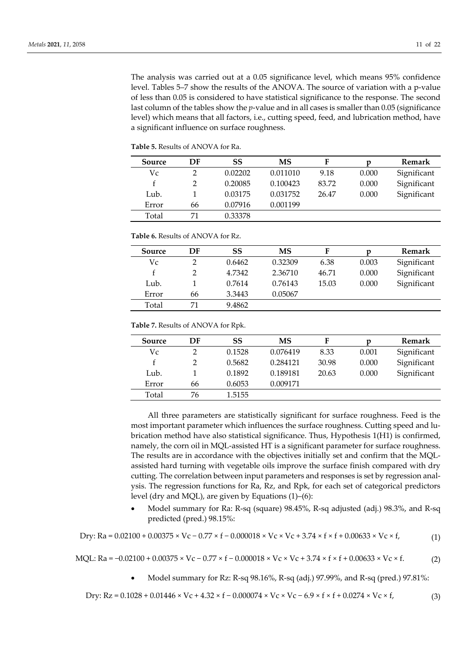The analysis was carried out at a 0.05 significance level, which means 95% confidence level. Tables 5–7 show the results of the ANOVA. The source of variation with a p-value of less than 0.05 is considered to have statistical significance to the response. The second last column of the tables show the *p*-value and in all cases is smaller than 0.05 (significance level) which means that all factors, i.e., cutting speed, feed, and lubrication method, have a significant influence on surface roughness.

| Source | DF | SS      | MS       | F     | D     | <b>Remark</b> |
|--------|----|---------|----------|-------|-------|---------------|
| Vc     |    | 0.02202 | 0.011010 | 9.18  | 0.000 | Significant   |
|        |    | 0.20085 | 0.100423 | 83.72 | 0.000 | Significant   |
| Lub.   |    | 0.03175 | 0.031752 | 26.47 | 0.000 | Significant   |
| Error  | 66 | 0.07916 | 0.001199 |       |       |               |
| Total  | 71 | 0.33378 |          |       |       |               |

**Table 6.** Results of ANOVA for Rz.

| Source | DF | SS     | МS      | F     | D     | <b>Remark</b> |
|--------|----|--------|---------|-------|-------|---------------|
| Vc     |    | 0.6462 | 0.32309 | 6.38  | 0.003 | Significant   |
|        |    | 4.7342 | 2.36710 | 46.71 | 0.000 | Significant   |
| Lub.   |    | 0.7614 | 0.76143 | 15.03 | 0.000 | Significant   |
| Error  | 66 | 3.3443 | 0.05067 |       |       |               |
| Total  | 71 | 9.4862 |         |       |       |               |

**Table 7.** Results of ANOVA for Rpk.

| Source | DF | SS     | MS       | F     |       | <b>Remark</b> |
|--------|----|--------|----------|-------|-------|---------------|
| Vc     |    | 0.1528 | 0.076419 | 8.33  | 0.001 | Significant   |
|        |    | 0.5682 | 0.284121 | 30.98 | 0.000 | Significant   |
| Lub.   |    | 0.1892 | 0.189181 | 20.63 | 0.000 | Significant   |
| Error  | 66 | 0.6053 | 0.009171 |       |       |               |
| Total  | 76 | 1.5155 |          |       |       |               |

All three parameters are statistically significant for surface roughness. Feed is the most important parameter which influences the surface roughness. Cutting speed and lubrication method have also statistical significance. Thus, Hypothesis 1(H1) is confirmed, namely, the corn oil in MQL-assisted HT is a significant parameter for surface roughness. The results are in accordance with the objectives initially set and confirm that the MQLassisted hard turning with vegetable oils improve the surface finish compared with dry cutting. The correlation between input parameters and responses is set by regression analysis. The regression functions for Ra, Rz, and Rpk, for each set of categorical predictors level (dry and MQL), are given by Equations (1)–(6):

• Model summary for Ra: R-sq (square) 98.45%, R-sq adjusted (adj.) 98.3%, and R-sq predicted (pred.) 98.15%:

Dry: Ra = 0.02100 + 0.00375 × Vc − 0.77 × f − 0.000018 × Vc × Vc + 3.74 × f × f + 0.00633 × Vc × f, (1)

MQL: Ra = -0.02100 + 0.00375 × Vc − 0.77 × f − 0.000018 × Vc × Vc + 3.74 × f × f + 0.00633 × Vc × f. (2)

• Model summary for Rz: R-sq 98.16%, R-sq (adj.) 97.99%, and R-sq (pred.) 97.81%:

Dry: Rz = 0.1028 + 0.01446 × Vc + 4.32 × f − 0.000074 × Vc × Vc − 6.9 × f × f + 0.0274 × Vc × f, (3)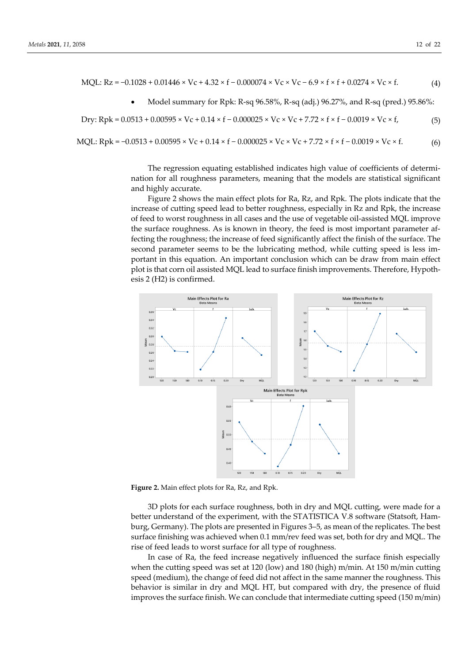MQL: 
$$
Rz = -0.1028 + 0.01446 \times Vc + 4.32 \times f - 0.000074 \times Vc \times Vc - 6.9 \times f \times f + 0.0274 \times Vc \times f
$$
. (4)

• Model summary for Rpk: R-sq 96.58%, R-sq (adj.) 96.27%, and R-sq (pred.) 95.86%:

$$
Dry: Rpk = 0.0513 + 0.00595 \times Vc + 0.14 \times f - 0.000025 \times Vc \times Vc + 7.72 \times f \times f - 0.0019 \times Vc \times f,
$$
 (5)

MQL: Rpk = -0.0513 + 0.00595 × Vc + 0.14 × f − 0.000025 × Vc × Vc + 7.72 × f × f − 0.0019 × Vc × f. (6)

The regression equating established indicates high value of coefficients of determination for all roughness parameters, meaning that the models are statistical significant and highly accurate.

Figure 2 shows the main effect plots for Ra, Rz, and Rpk. The plots indicate that the increase of cutting speed lead to better roughness, especially in Rz and Rpk, the increase of feed to worst roughness in all cases and the use of vegetable oil-assisted MQL improve the surface roughness. As is known in theory, the feed is most important parameter affecting the roughness; the increase of feed significantly affect the finish of the surface. The second parameter seems to be the lubricating method, while cutting speed is less important in this equation. An important conclusion which can be draw from main effect plot is that corn oil assisted MQL lead to surface finish improvements. Therefore, Hypothesis 2 (H2) is confirmed.



**Figure 2.** Main effect plots for Ra, Rz, and Rpk.

3D plots for each surface roughness, both in dry and MQL cutting, were made for a better understand of the experiment, with the STATISTICA V.8 software (Statsoft, Hamburg, Germany). The plots are presented in Figures 3–5, as mean of the replicates. The best surface finishing was achieved when 0.1 mm/rev feed was set, both for dry and MQL. The rise of feed leads to worst surface for all type of roughness.

In case of Ra, the feed increase negatively influenced the surface finish especially when the cutting speed was set at 120 (low) and 180 (high) m/min. At 150 m/min cutting speed (medium), the change of feed did not affect in the same manner the roughness. This behavior is similar in dry and MQL HT, but compared with dry, the presence of fluid improves the surface finish. We can conclude that intermediate cutting speed (150 m/min)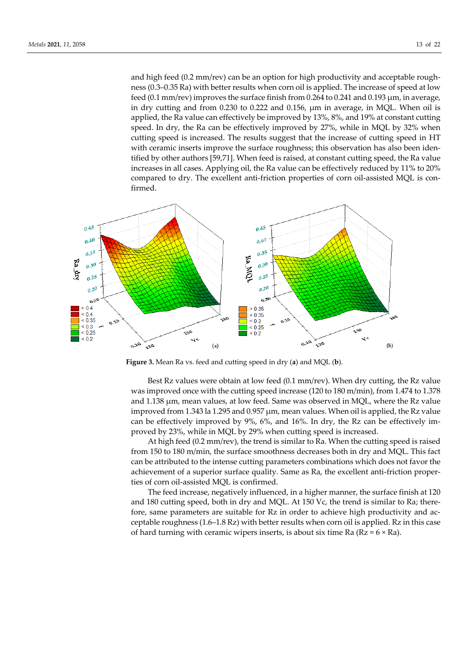and high feed (0.2 mm/rev) can be an option for high productivity and acceptable roughness (0.3–0.35 Ra) with better results when corn oil is applied. The increase of speed at low feed (0.1 mm/rev) improves the surface finish from 0.264 to 0.241 and 0.193 μm, in average, in dry cutting and from 0.230 to 0.222 and 0.156, μm in average, in MQL. When oil is applied, the Ra value can effectively be improved by 13%, 8%, and 19% at constant cutting speed. In dry, the Ra can be effectively improved by 27%, while in MQL by 32% when cutting speed is increased. The results suggest that the increase of cutting speed in HT with ceramic inserts improve the surface roughness; this observation has also been identified by other authors [59,71]. When feed is raised, at constant cutting speed, the Ra value increases in all cases. Applying oil, the Ra value can be effectively reduced by 11% to 20% compared to dry. The excellent anti-friction properties of corn oil-assisted MQL is confirmed.



**Figure 3.** Mean Ra vs. feed and cutting speed in dry (**a**) and MQL (**b**).

Best Rz values were obtain at low feed (0.1 mm/rev). When dry cutting, the Rz value was improved once with the cutting speed increase (120 to 180 m/min), from 1.474 to 1.378 and 1.138 μm, mean values, at low feed. Same was observed in MQL, where the Rz value improved from 1.343 la 1.295 and 0.957 μm, mean values. When oil is applied, the Rz value can be effectively improved by 9%, 6%, and 16%. In dry, the Rz can be effectively improved by 23%, while in MQL by 29% when cutting speed is increased.

At high feed (0.2 mm/rev), the trend is similar to Ra. When the cutting speed is raised from 150 to 180 m/min, the surface smoothness decreases both in dry and MQL. This fact can be attributed to the intense cutting parameters combinations which does not favor the achievement of a superior surface quality. Same as Ra, the excellent anti-friction properties of corn oil-assisted MQL is confirmed.

The feed increase, negatively influenced, in a higher manner, the surface finish at 120 and 180 cutting speed, both in dry and MQL. At 150 Vc, the trend is similar to Ra; therefore, same parameters are suitable for Rz in order to achieve high productivity and acceptable roughness (1.6–1.8 Rz) with better results when corn oil is applied. Rz in this case of hard turning with ceramic wipers inserts, is about six time Ra ( $Rz \approx 6 \times Ra$ ).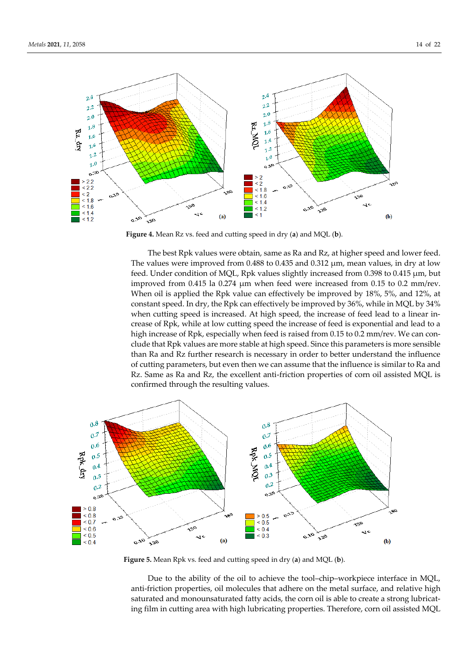

**Figure 4.** Mean Rz vs. feed and cutting speed in dry (**a**) and MQL (**b**).

The best Rpk values were obtain, same as Ra and Rz, at higher speed and lower feed. The values were improved from 0.488 to 0.435 and 0.312 μm, mean values, in dry at low feed. Under condition of MQL, Rpk values slightly increased from 0.398 to 0.415 μm, but improved from 0.415 la 0.274 μm when feed were increased from 0.15 to 0.2 mm/rev. When oil is applied the Rpk value can effectively be improved by 18%, 5%, and 12%, at constant speed. In dry, the Rpk can effectively be improved by 36%, while in MQL by 34% when cutting speed is increased. At high speed, the increase of feed lead to a linear increase of Rpk, while at low cutting speed the increase of feed is exponential and lead to a high increase of Rpk, especially when feed is raised from 0.15 to 0.2 mm/rev. We can conclude that Rpk values are more stable at high speed. Since this parameters is more sensible than Ra and Rz further research is necessary in order to better understand the influence of cutting parameters, but even then we can assume that the influence is similar to Ra and Rz. Same as Ra and Rz, the excellent anti-friction properties of corn oil assisted MQL is confirmed through the resulting values.



**Figure 5.** Mean Rpk vs. feed and cutting speed in dry (**a**) and MQL (**b**).

Due to the ability of the oil to achieve the tool–chip–workpiece interface in MQL, anti-friction properties, oil molecules that adhere on the metal surface, and relative high saturated and monounsaturated fatty acids, the corn oil is able to create a strong lubricating film in cutting area with high lubricating properties. Therefore, corn oil assisted MQL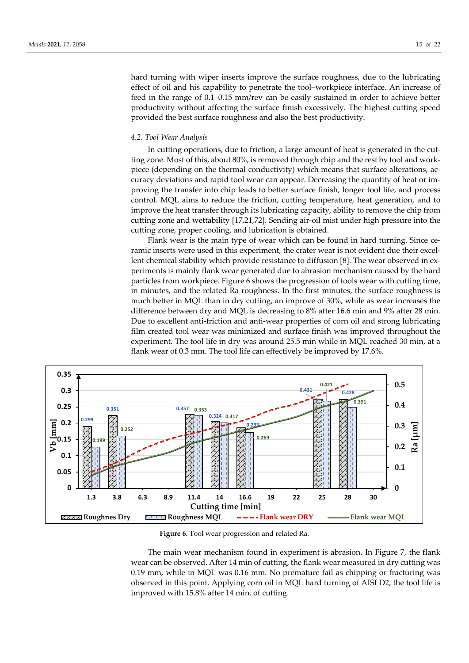hard turning with wiper inserts improve the surface roughness, due to the lubricating effect of oil and his capability to penetrate the tool–workpiece interface. An increase of feed in the range of 0.1–0.15 mm/rev can be easily sustained in order to achieve better

# *4.2. Tool Wear Analysis*

In cutting operations, due to friction, a large amount of heat is generated in the cutting zone. Most of this, about 80%, is removed through chip and the rest by tool and workpiece (depending on the thermal conductivity) which means that surface alterations, accuracy deviations and rapid tool wear can appear. Decreasing the quantity of heat or improving the transfer into chip leads to better surface finish, longer tool life, and process control. MQL aims to reduce the friction, cutting temperature, heat generation, and to improve the heat transfer through its lubricating capacity, ability to remove the chip from cutting zone and wettability [17,21,72]. Sending air-oil mist under high pressure into the cutting zone, proper cooling, and lubrication is obtained.

productivity without affecting the surface finish excessively. The highest cutting speed

provided the best surface roughness and also the best productivity.

Flank wear is the main type of wear which can be found in hard turning. Since ceramic inserts were used in this experiment, the crater wear is not evident due their excellent chemical stability which provide resistance to diffusion [8]. The wear observed in experiments is mainly flank wear generated due to abrasion mechanism caused by the hard particles from workpiece. Figure 6 shows the progression of tools wear with cutting time, in minutes, and the related Ra roughness. In the first minutes, the surface roughness is much better in MQL than in dry cutting, an improve of 30%, while as wear increases the difference between dry and MQL is decreasing to 8% after 16.6 min and 9% after 28 min. Due to excellent anti-friction and anti-wear properties of corn oil and strong lubricating film created tool wear was minimized and surface finish was improved throughout the experiment. The tool life in dry was around 25.5 min while in MQL reached 30 min, at a flank wear of 0.3 mm. The tool life can effectively be improved by 17.6%.



**Figure 6.** Tool wear progression and related Ra.

The main wear mechanism found in experiment is abrasion. In Figure 7, the flank wear can be observed. After 14 min of cutting, the flank wear measured in dry cutting was 0.19 mm, while in MQL was 0.16 mm. No premature fail as chipping or fracturing was observed in this point. Applying corn oil in MQL hard turning of AISI D2, the tool life is improved with 15.8% after 14 min. of cutting.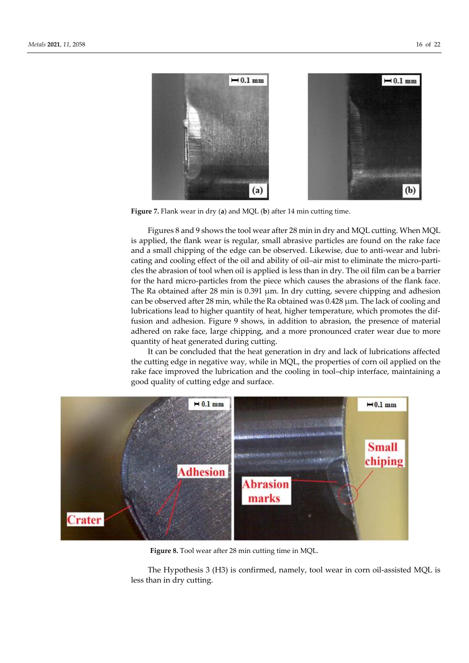

**Figure 7.** Flank wear in dry (**a**) and MQL (**b**) after 14 min cutting time.

Figures 8 and 9 shows the tool wear after 28 min in dry and MQL cutting. When MQL is applied, the flank wear is regular, small abrasive particles are found on the rake face and a small chipping of the edge can be observed. Likewise, due to anti-wear and lubricating and cooling effect of the oil and ability of oil–air mist to eliminate the micro-particles the abrasion of tool when oil is applied is less than in dry. The oil film can be a barrier for the hard micro-particles from the piece which causes the abrasions of the flank face. The Ra obtained after 28 min is 0.391 μm. In dry cutting, severe chipping and adhesion can be observed after 28 min, while the Ra obtained was 0.428 μm. The lack of cooling and lubrications lead to higher quantity of heat, higher temperature, which promotes the diffusion and adhesion. Figure 9 shows, in addition to abrasion, the presence of material adhered on rake face, large chipping, and a more pronounced crater wear due to more quantity of heat generated during cutting.

It can be concluded that the heat generation in dry and lack of lubrications affected the cutting edge in negative way, while in MQL, the properties of corn oil applied on the rake face improved the lubrication and the cooling in tool–chip interface, maintaining a good quality of cutting edge and surface.



**Figure 8.** Tool wear after 28 min cutting time in MQL.

The Hypothesis 3 (H3) is confirmed, namely, tool wear in corn oil-assisted MQL is less than in dry cutting.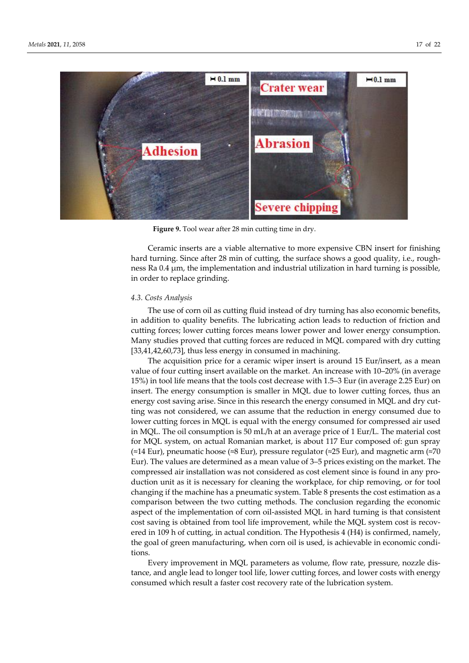

**Figure 9.** Tool wear after 28 min cutting time in dry.

Ceramic inserts are a viable alternative to more expensive CBN insert for finishing hard turning. Since after 28 min of cutting, the surface shows a good quality, i.e., roughness Ra 0.4 μm, the implementation and industrial utilization in hard turning is possible, in order to replace grinding.

#### *4.3. Costs Analysis*

The use of corn oil as cutting fluid instead of dry turning has also economic benefits, in addition to quality benefits. The lubricating action leads to reduction of friction and cutting forces; lower cutting forces means lower power and lower energy consumption. Many studies proved that cutting forces are reduced in MQL compared with dry cutting [33,41,42,60,73], thus less energy in consumed in machining.

The acquisition price for a ceramic wiper insert is around 15 Eur/insert, as a mean value of four cutting insert available on the market. An increase with 10–20% (in average 15%) in tool life means that the tools cost decrease with 1.5–3 Eur (in average 2.25 Eur) on insert. The energy consumption is smaller in MQL due to lower cutting forces, thus an energy cost saving arise. Since in this research the energy consumed in MQL and dry cutting was not considered, we can assume that the reduction in energy consumed due to lower cutting forces in MQL is equal with the energy consumed for compressed air used in MQL. The oil consumption is 50 mL/h at an average price of 1 Eur/L. The material cost for MQL system, on actual Romanian market, is about 117 Eur composed of: gun spray (≈14 Eur), pneumatic hoose (≈8 Eur), pressure regulator (≈25 Eur), and magnetic arm (≈70 Eur). The values are determined as a mean value of 3–5 prices existing on the market. The compressed air installation was not considered as cost element since is found in any production unit as it is necessary for cleaning the workplace, for chip removing, or for tool changing if the machine has a pneumatic system. Table 8 presents the cost estimation as a comparison between the two cutting methods. The conclusion regarding the economic aspect of the implementation of corn oil-assisted MQL in hard turning is that consistent cost saving is obtained from tool life improvement, while the MQL system cost is recovered in 109 h of cutting, in actual condition. The Hypothesis 4 (H4) is confirmed, namely, the goal of green manufacturing, when corn oil is used, is achievable in economic conditions.

Every improvement in MQL parameters as volume, flow rate, pressure, nozzle distance, and angle lead to longer tool life, lower cutting forces, and lower costs with energy consumed which result a faster cost recovery rate of the lubrication system.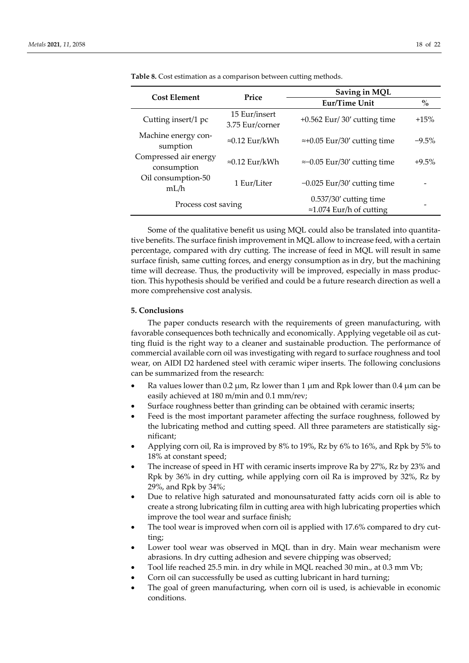| <b>Cost Element</b>                  | Price                            | Saving in MQL                                                |                                    |  |  |
|--------------------------------------|----------------------------------|--------------------------------------------------------------|------------------------------------|--|--|
|                                      |                                  | Eur/Time Unit                                                | $\mathbf{0}_{\mathbf{0}}^{\prime}$ |  |  |
| Cutting insert/1 pc                  | 15 Eur/insert<br>3.75 Eur/corner | $+0.562$ Eur/30' cutting time                                | $+15%$                             |  |  |
| Machine energy con-<br>sumption      | $\approx 0.12$ Eur/kWh           | $\approx +0.05$ Eur/30' cutting time                         | $-9.5%$                            |  |  |
| Compressed air energy<br>consumption | $\approx 0.12$ Eur/kWh           | $\approx$ -0.05 Eur/30' cutting time                         | $+9.5%$                            |  |  |
| Oil consumption-50<br>mL/h           | 1 Eur/Liter                      | $-0.025$ Eur/30' cutting time                                |                                    |  |  |
| Process cost saving                  |                                  | $0.537/30'$ cutting time<br>$\approx$ 1.074 Eur/h of cutting |                                    |  |  |

**Table 8.** Cost estimation as a comparison between cutting methods.

Some of the qualitative benefit us using MQL could also be translated into quantitative benefits. The surface finish improvement in MQL allow to increase feed, with a certain percentage, compared with dry cutting. The increase of feed in MQL will result in same surface finish, same cutting forces, and energy consumption as in dry, but the machining time will decrease. Thus, the productivity will be improved, especially in mass production. This hypothesis should be verified and could be a future research direction as well a more comprehensive cost analysis.

## **5. Conclusions**

The paper conducts research with the requirements of green manufacturing, with favorable consequences both technically and economically. Applying vegetable oil as cutting fluid is the right way to a cleaner and sustainable production. The performance of commercial available corn oil was investigating with regard to surface roughness and tool wear, on AIDI D2 hardened steel with ceramic wiper inserts. The following conclusions can be summarized from the research:

- Ra values lower than 0.2 μm, Rz lower than 1 μm and Rpk lower than 0.4 μm can be easily achieved at 180 m/min and 0.1 mm/rev;
- Surface roughness better than grinding can be obtained with ceramic inserts;
- Feed is the most important parameter affecting the surface roughness, followed by the lubricating method and cutting speed. All three parameters are statistically significant;
- Applying corn oil, Ra is improved by 8% to 19%, Rz by 6% to 16%, and Rpk by 5% to 18% at constant speed;
- The increase of speed in HT with ceramic inserts improve Ra by 27%, Rz by 23% and Rpk by 36% in dry cutting, while applying corn oil Ra is improved by 32%, Rz by 29%, and Rpk by 34%;
- Due to relative high saturated and monounsaturated fatty acids corn oil is able to create a strong lubricating film in cutting area with high lubricating properties which improve the tool wear and surface finish;
- The tool wear is improved when corn oil is applied with 17.6% compared to dry cutting;
- Lower tool wear was observed in MQL than in dry. Main wear mechanism were abrasions. In dry cutting adhesion and severe chipping was observed;
- Tool life reached 25.5 min. in dry while in MQL reached 30 min., at 0.3 mm Vb;
- Corn oil can successfully be used as cutting lubricant in hard turning;
- The goal of green manufacturing, when corn oil is used, is achievable in economic conditions.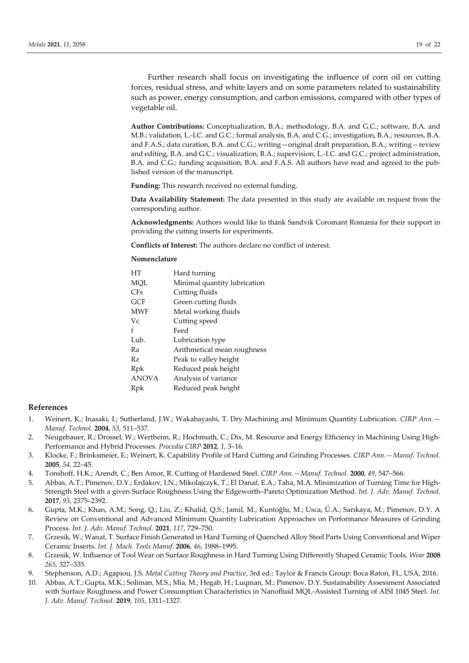Further research shall focus on investigating the influence of corn oil on cutting forces, residual stress, and white layers and on some parameters related to sustainability such as power, energy consumption, and carbon emissions, compared with other types of vegetable oil.

**Author Contributions:** Conceptualization, B.A.; methodology, B.A. and G.C.; software, B.A. and M.B.; validation, L.-I.C. and G.C.; formal analysis, B.A. and C.G.; investigation, B.A.; resources, B.A. and F.A.S.; data curation, B.A. and C.G.; writing—original draft preparation, B.A.; writing—review and editing, B.A. and G.C.; visualization, B.A.; supervision, L.-I.C. and G.C.; project administration, B.A. and C.G.; funding acquisition, B.A. and F.A.S. All authors have read and agreed to the published version of the manuscript.

**Funding:** This research received no external funding.

**Data Availability Statement:** The data presented in this study are available on request from the corresponding author.

**Acknowledgments:** Authors would like to thank Sandvik Coromant Romania for their support in providing the cutting inserts for experiments.

**Conflicts of Interest:** The authors declare no conflict of interest.

#### **Nomenclature**

| HТ           | Hard turning                 |
|--------------|------------------------------|
| MQL          | Minimal quantity lubrication |
| CFs          | Cutting fluids               |
| GCF          | Green cutting fluids         |
| MWF          | Metal working fluids         |
| Vc           | Cutting speed                |
| f            | Feed                         |
| Lub.         | Lubrication type             |
| Ra           | Arithmetical mean roughness  |
| Rz           | Peak to valley height        |
| Rpk          | Reduced peak height          |
| <b>ANOVA</b> | Analysis of variance         |
| Rpk          | Reduced peak height          |

#### **References**

- 1. Weinert, K.; Inasaki, I.; Sutherland, J.W.; Wakabayashi, T. Dry Machining and Minimum Quantity Lubrication. *CIRP Ann.— Manuf. Technol.* **2004**, *53*, 511–537.
- 2. Neugebauer, R.; Drossel, W.; Wertheim, R.; Hochmuth, C.; Dix, M. Resource and Energy Efficiency in Machining Using High-Performance and Hybrid Processes. *Procedia CIRP* **2012**, *1*, 3–16.
- 3. Klocke, F.; Brinksmeier, E.; Weinert, K. Capability Profile of Hard Cutting and Grinding Processes. *CIRP Ann.—Manuf. Technol*. **2005**, *54*, 22–45.
- 4. Tonshoff, H.K.; Arendt, C.; Ben Amor, R. Cutting of Hardened Steel. *CIRP Ann.—Manuf. Technol*. **2000**, *49*, 547–566.
- 5. Abbas, A.T.; Pimenov, D.Y.; Erdakov, I.N.; Mikolajczyk, T.; El Danaf, E.A.; Taha, M.A. Minimization of Turning Time for High-Strength Steel with a given Surface Roughness Using the Edgeworth–Pareto Optimization Method. *Int. J. Adv. Manuf. Technol*. **2017**, *93*, 2375–2392.
- 6. Gupta, M.K.; Khan, A.M.; Song, Q.; Liu, Z.; Khalid, Q.S.; Jamil, M.; Kuntoğlu, M.; Usca, Ü.A.; Sarıkaya, M.; Pimenov, D.Y. A Review on Conventional and Advanced Minimum Quantity Lubrication Approaches on Performance Measures of Grinding Process. *Int. J. Adv. Manuf. Technol.* **2021**, *117*, 729–750.
- 7. Grzesik, W.; Wanat, T. Surface Finish Generated in Hard Turning of Quenched Alloy Steel Parts Using Conventional and Wiper Ceramic Inserts. *Int. J. Mach. Tools Manuf*. **2006**, *46*, 1988–1995.
- 8. Grzesik, W. Influence of Tool Wear on Surface Roughness in Hard Turning Using Differently Shaped Ceramic Tools. *Wear* **2008** *265,* 327–335.
- 9. Stephenson, A.D.; Agapiou, J.S. *Metal Cutting Theory and Practice*, 3rd ed.; Taylor & Francis Group: Boca Raton, FL, USA, 2016.
- 10. Abbas, A.T.; Gupta, M.K.; Soliman, M.S.; Mia, M.; Hegab, H.; Luqman, M.; Pimenov, D.Y. Sustainability Assessment Associated with Surface Roughness and Power Consumption Characteristics in Nanofluid MQL-Assisted Turning of AISI 1045 Steel. *Int. J. Adv. Manuf. Technol.* **2019**, *105*, 1311–1327.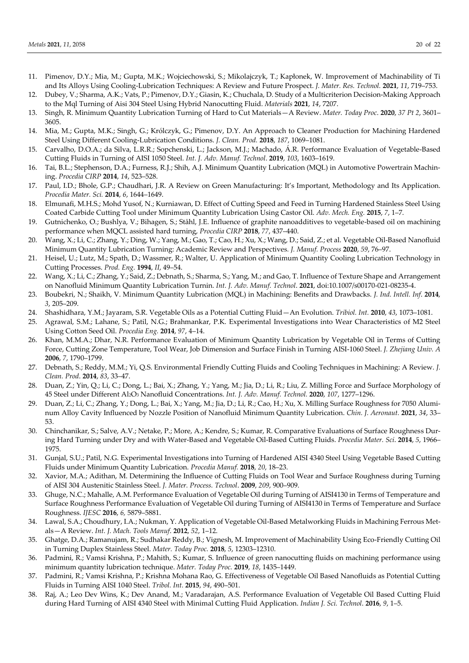- 11. Pimenov, D.Y.; Mia, M.; Gupta, M.K.; Wojciechowski, S.; Mikolajczyk, T.; Kapłonek, W. Improvement of Machinability of Ti and Its Alloys Using Cooling-Lubrication Techniques: A Review and Future Prospect. *J. Mater. Res. Technol.* **2021**, *11*, 719–753.
- 12. Dubey, V.; Sharma, A.K.; Vats, P.; Pimenov, D.Y.; Giasin, K.; Chuchala, D. Study of a Multicriterion Decision-Making Approach to the Mql Turning of Aisi 304 Steel Using Hybrid Nanocutting Fluid. *Materials* **2021**, *14*, 7207.
- 13. Singh, R. Minimum Quantity Lubrication Turning of Hard to Cut Materials—A Review. *Mater. Today Proc*. **2020**, *37 Pt 2*, 3601– 3605.
- 14. Mia, M.; Gupta, M.K.; Singh, G.; Królczyk, G.; Pimenov, D.Y. An Approach to Cleaner Production for Machining Hardened Steel Using Different Cooling-Lubrication Conditions. *J. Clean. Prod.* **2018**, *187*, 1069–1081.
- 15. Carvalho, D.O.A.; da Silva, L.R.R.; Sopchenski, L.; Jackson, M.J.; Machado, Á .R. Performance Evaluation of Vegetable-Based Cutting Fluids in Turning of AISI 1050 Steel. *Int. J. Adv. Manuf. Technol*. **2019**, *103*, 1603–1619.
- 16. Tai, B.L.; Stephenson, D.A.; Furness, R.J.; Shih, A.J. Minimum Quantity Lubrication (MQL) in Automotive Powertrain Machining. *Procedia CIRP* **2014**, *14*, 523–528.
- 17. Paul, I.D.; Bhole, G.P.; Chaudhari, J.R. A Review on Green Manufacturing: It's Important, Methodology and Its Application. *Procedia Mater. Sci.* **2014**, *6*, 1644–1649.
- 18. Elmunafi, M.H.S.; Mohd Yusof, N.; Kurniawan, D. Effect of Cutting Speed and Feed in Turning Hardened Stainless Steel Using Coated Carbide Cutting Tool under Minimum Quantity Lubrication Using Castor Oil. *Adv. Mech. Eng.* **2015**, *7*, 1–7.
- 19. Gutnichenko, O.; Bushlya, V.; Bihagen, S.; Ståhl, J.E. Influence of graphite nanoadditives to vegetable-based oil on machining performance when MQCL assisted hard turning, *Procedia CIRP* **2018**, *77*, 437–440.
- 20. Wang, X.; Li, C.; Zhang, Y.; Ding, W.; Yang, M.; Gao, T.; Cao, H.; Xu, X.; Wang, D.; Said, Z.; et al. Vegetable Oil-Based Nanofluid Minimum Quantity Lubrication Turning: Academic Review and Perspectives*. J. Manuf. Process* **2020**, *59*, 76–97.
- 21. Heisel, U.; Lutz, M.; Spath, D.; Wassmer, R.; Walter, U. Application of Minimum Quantity Cooling Lubrication Technology in Cutting Processes. *Prod. Eng.* **1994**, *II*, 49–54.
- 22. Wang, X.; Li, C.; Zhang, Y.; Said, Z.; Debnath, S.; Sharma, S.; Yang, M.; and Gao, T. Influence of Texture Shape and Arrangement on Nanofluid Minimum Quantity Lubrication Turnin. *Int. J. Adv. Manuf. Technol*. **2021**, doi:10.1007/s00170-021-08235-4.
- 23. Boubekri, N.; Shaikh, V. Minimum Quantity Lubrication (MQL) in Machining: Benefits and Drawbacks. *J. Ind. Intell. Inf*. **2014**, *3*, 205–209.
- 24. Shashidhara, Y.M.; Jayaram, S.R. Vegetable Oils as a Potential Cutting Fluid—An Evolution. *Tribiol. Int.* **2010**, *43*, 1073–1081.
- 25. Agrawal, S.M.; Lahane, S.; Patil, N.G.; Brahmankar, P.K. Experimental Investigations into Wear Characteristics of M2 Steel Using Cotton Seed Oil. *Procedia Eng.* **2014**, *97*, 4–14.
- 26. Khan, M.M.A.; Dhar, N.R. Performance Evaluation of Minimum Quantity Lubrication by Vegetable Oil in Terms of Cutting Force, Cutting Zone Temperature, Tool Wear, Job Dimension and Surface Finish in Turning AISI-1060 Steel. *J. Zhejiang Univ. A* **2006**, *7*, 1790–1799.
- 27. Debnath, S.; Reddy, M.M.; Yi, Q.S. Environmental Friendly Cutting Fluids and Cooling Techniques in Machining: A Review. *J. Clean. Prod*. **2014**, *83*, 33–47.
- 28. Duan, Z.; Yin, Q.; Li, C.; Dong, L.; Bai, X.; Zhang, Y.; Yang, M.; Jia, D.; Li, R.; Liu, Z. Milling Force and Surface Morphology of 45 Steel under Different Al2O<sup>3</sup> Nanofluid Concentrations. *Int. J. Adv. Manuf. Technol.* **2020**, *107*, 1277–1296.
- 29. Duan, Z.; Li, C.; Zhang, Y.; Dong, L.; Bai, X.; Yang, M.; Jia, D.; Li, R.; Cao, H.; Xu, X. Milling Surface Roughness for 7050 Aluminum Alloy Cavity Influenced by Nozzle Position of Nanofluid Minimum Quantity Lubrication. *Chin. J. Aeronaut.* **2021**, *34*, 33– 53.
- 30. Chinchanikar, S.; Salve, A.V.; Netake, P.; More, A.; Kendre, S.; Kumar, R. Comparative Evaluations of Surface Roughness During Hard Turning under Dry and with Water-Based and Vegetable Oil-Based Cutting Fluids. *Procedia Mater. Sci*. **2014**, *5*, 1966– 1975.
- 31. Gunjal, S.U.; Patil, N.G. Experimental Investigations into Turning of Hardened AISI 4340 Steel Using Vegetable Based Cutting Fluids under Minimum Quantity Lubrication. *Procedia Manuf.* **2018**, *20*, 18–23.
- 32. Xavior, M.A.; Adithan, M. Determining the Influence of Cutting Fluids on Tool Wear and Surface Roughness during Turning of AISI 304 Austenitic Stainless Steel. *J. Mater. Process. Technol*. **2009**, *209*, 900–909.
- 33. Ghuge, N.C.; Mahalle, A.M. Performance Evaluation of Vegetable Oil during Turning of AISI4130 in Terms of Temperature and Surface Roughness Performance Evaluation of Vegetable Oil during Turning of AISI4130 in Terms of Temperature and Surface Roughness. *IJESC* **2016**, *6,* 5879–5881.
- 34. Lawal, S.A.; Choudhury, I.A.; Nukman, Y. Application of Vegetable Oil-Based Metalworking Fluids in Machining Ferrous Metals—A Review. *Int. J. Mach. Tools Manuf*. **2012**, *52*, 1–12.
- 35. Ghatge, D.A.; Ramanujam, R.; Sudhakar Reddy, B.; Vignesh, M. Improvement of Machinability Using Eco-Friendly Cutting Oil in Turning Duplex Stainless Steel. *Mater. Today Proc.* **2018**, *5*, 12303–12310.
- 36. Padmini, R.; Vamsi Krishna, P.; Mahith, S.; Kumar, S. Influence of green nanocutting fluids on machining performance using minimum quantity lubrication technique. *Mater. Today Proc.* **2019**, *18*, 1435–1449.
- 37. Padmini, R.; Vamsi Krishna, P.; Krishna Mohana Rao, G. Effectiveness of Vegetable Oil Based Nanofluids as Potential Cutting Fluids in Turning AISI 1040 Steel. *Tribol. Int.* **2015**, *94*, 490–501.
- 38. Raj, A.; Leo Dev Wins, K.; Dev Anand, M.; Varadarajan, A.S. Performance Evaluation of Vegetable Oil Based Cutting Fluid during Hard Turning of AISI 4340 Steel with Minimal Cutting Fluid Application. *Indian J. Sci. Technol*. **2016**, *9*, 1–5.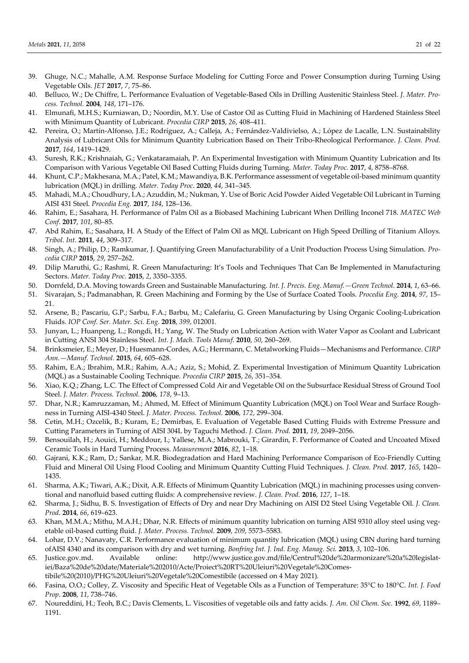- 39. Ghuge, N.C.; Mahalle, A.M. Response Surface Modeling for Cutting Force and Power Consumption during Turning Using Vegetable Oils. *JET* **2017**, *7*, 75–86.
- 40. Belluco, W.; De Chiffre, L. Performance Evaluation of Vegetable-Based Oils in Drilling Austenitic Stainless Steel. *J. Mater. Process. Technol.* **2004**, *148*, 171–176.
- 41. Elmunafi, M.H.S.; Kurniawan, D.; Noordin, M.Y. Use of Castor Oil as Cutting Fluid in Machining of Hardened Stainless Steel with Minimum Quantity of Lubricant. *Procedia CIRP* **2015**, *26*, 408–411.
- 42. Pereira, O.; Martín-Alfonso, J.E.; Rodríguez, A.; Calleja, A.; Fernández-Valdivielso, A.; López de Lacalle, L.N. Sustainability Analysis of Lubricant Oils for Minimum Quantity Lubrication Based on Their Tribo-Rheological Performance. *J. Clean. Prod.* **2017**, *164*, 1419–1429.
- 43. Suresh, R.K.; Krishnaiah, G.; Venkataramaiah, P. An Experimental Investigation with Minimum Quantity Lubrication and Its Comparison with Various Vegetable Oil Based Cutting Fluids during Turning. *Mater. Today Proc.* **2017**, *4*, 8758–8768.
- 44. Khunt, C.P.; Makhesana, M.A.; Patel, K.M.; Mawandiya, B.K. Performance assessment of vegetable oil-based minimum quantity lubrication (MQL) in drilling*. Mater. Today Proc*. **2020**, *44*, 341–345.
- 45. Mahadi, M.A.; Choudhury, I.A.; Azuddin, M.; Nukman, Y. Use of Boric Acid Powder Aided Vegetable Oil Lubricant in Turning AISI 431 Steel. *Procedia Eng.* **2017**, *184*, 128–136.
- 46. Rahim, E.; Sasahara, H. Performance of Palm Oil as a Biobased Machining Lubricant When Drilling Inconel 718. *MATEC Web Conf*. **2017**, *101*, 80–85.
- 47. Abd Rahim, E.; Sasahara, H. A Study of the Effect of Palm Oil as MQL Lubricant on High Speed Drilling of Titanium Alloys. *Tribol. Int.* **2011**, *44*, 309–317.
- 48. Singh, A.; Philip, D.; Ramkumar, J. Quantifying Green Manufacturability of a Unit Production Process Using Simulation. *Procedia CIRP* **2015**, *29*, 257–262.
- 49. Dilip Maruthi, G.; Rashmi, R. Green Manufacturing: It's Tools and Techniques That Can Be Implemented in Manufacturing Sectors. *Mater. Today Proc.* **2015**, *2*, 3350–3355.
- 50. Dornfeld, D.A. Moving towards Green and Sustainable Manufacturing. *Int. J. Precis. Eng. Manuf.—Green Technol.* **2014**, *1*, 63–66.
- 51. Sivarajan, S.; Padmanabhan, R. Green Machining and Forming by the Use of Surface Coated Tools. *Procedia Eng.* **2014**, *97*, 15– 21.
- 52. Arsene, B.; Pascariu, G.P.; Sarbu, F.A.; Barbu, M.; Calefariu, G. Green Manufacturing by Using Organic Cooling-Lubrication Fluids. *IOP Conf. Ser. Mater. Sci. Eng.* **2018**, *399*, 012001*.*
- 53. Junyan, L.; Huanpeng, L.; Rongdi, H.; Yang, W. The Study on Lubrication Action with Water Vapor as Coolant and Lubricant in Cutting ANSI 304 Stainless Steel. *Int. J. Mach. Tools Manuf.* **2010**, *50*, 260–269.
- 54. Brinksmeier, E.; Meyer, D.; Huesmann-Cordes, A.G.; Herrmann, C. Metalworking Fluids—Mechanisms and Performance. *CIRP Ann.—Manuf. Technol.* **2015**, *64*, 605–628.
- 55. Rahim, E.A.; Ibrahim, M.R.; Rahim, A.A.; Aziz, S.; Mohid, Z. Experimental Investigation of Minimum Quantity Lubrication (MQL) as a Sustainable Cooling Technique. *Procedia CIRP* **2015**, *26*, 351–354.
- 56. Xiao, K.Q.; Zhang, L.C. The Effect of Compressed Cold Air and Vegetable Oil on the Subsurface Residual Stress of Ground Tool Steel. *J. Mater. Process. Technol.* **2006**, *178*, 9–13.
- 57. Dhar, N.R.; Kamruzzaman, M.; Ahmed, M. Effect of Minimum Quantity Lubrication (MQL) on Tool Wear and Surface Roughness in Turning AISI-4340 Steel. *J. Mater. Process. Technol.* **2006**, *172*, 299–304.
- 58. Cetin, M.H.; Ozcelik, B.; Kuram, E.; Demirbas, E. Evaluation of Vegetable Based Cutting Fluids with Extreme Pressure and Cutting Parameters in Turning of AISI 304L by Taguchi Method. *J. Clean. Prod.* **2011**, *19*, 2049–2056.
- 59. Bensouilah, H.; Aouici, H.; Meddour, I.; Yallese, M.A.; Mabrouki, T.; Girardin, F. Performance of Coated and Uncoated Mixed Ceramic Tools in Hard Turning Process. *Measurement* **2016**, *82*, 1–18.
- 60. Gajrani, K.K.; Ram, D.; Sankar, M.R. Biodegradation and Hard Machining Performance Comparison of Eco-Friendly Cutting Fluid and Mineral Oil Using Flood Cooling and Minimum Quantity Cutting Fluid Techniques. *J. Clean. Prod.* **2017**, *165*, 1420– 1435.
- 61. Sharma, A.K.; Tiwari, A.K.; Dixit, A.R. Effects of Minimum Quantity Lubrication (MQL) in machining processes using conventional and nanofluid based cutting fluids: A comprehensive review. *J. Clean. Prod.* **2016**, *127*, 1–18.
- 62. Sharma, J.; Sidhu, B. S. Investigation of Effects of Dry and near Dry Machining on AISI D2 Steel Using Vegetable Oil. *J. Clean. Prod*. **2014**, *66*, 619–623.
- 63. Khan, M.M.A.; Mithu, M.A.H.; Dhar, N.R. Effects of minimum quantity lubrication on turning AISI 9310 alloy steel using vegetable oil-based cutting fluid. *J. Mater. Process. Technol.* **2009**, *209*, 5573–5583.
- 64. Lohar, D.V.; Nanavaty, C.R. Performance evaluation of minimum quantity lubrication (MQL) using CBN during hard turning ofAISI 4340 and its comparison with dry and wet turning. *Bonfring Int. J. Ind. Eng. Manag. Sci.* **2013**, *3*, 102–106.
- 65. Justice.gov.md. Available online: http://www.justice.gov.md/file/Centrul%20de%20armonizare%20a%20legislatiei/Baza%20de%20date/Materiale%202010/Acte/Proiect%20RT%20Uleiuri%20Vegetale%20Comestibile%20(2010)/PHG%20Uleiuri%20Vegetale%20Comestibile (accessed on 4 May 2021).
- 66. Fasina, O.O.; Colley, Z. Viscosity and Specific Heat of Vegetable Oils as a Function of Temperature: 35°C to 180°C. *Int. J. Food Prop*. **2008**, *11*, 738–746.
- 67. Noureddini, H.; Teoh, B.C.; Davis Clements, L. Viscosities of vegetable oils and fatty acids. *J. Am. Oil Chem. Soc.* **1992**, *69*, 1189– 1191.